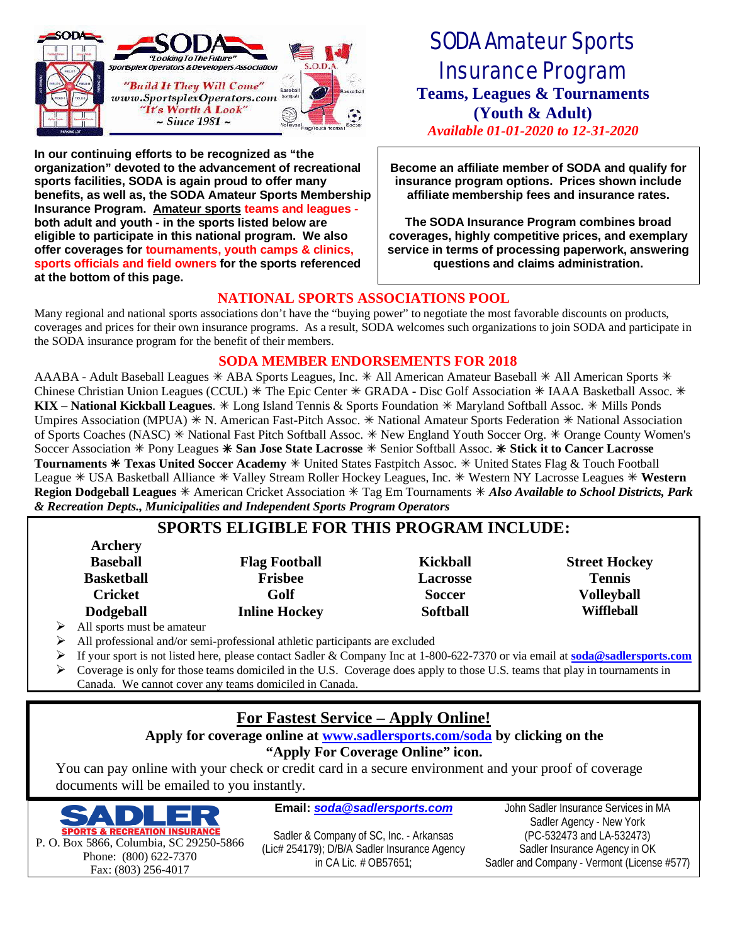

**In our continuing efforts to be recognized as "the organization" devoted to the advancement of recreational sports facilities, SODA is again proud to offer many benefits, as well as, the SODA Amateur Sports Membership Insurance Program. Amateur sports teams and leagues both adult and youth - in the sports listed below are eligible to participate in this national program. We also offer coverages for tournaments, youth camps & clinics, sports officials and field owners for the sports referenced at the bottom of this page.**

# SODA Amateur Sports Insurance Program **Teams, Leagues & Tournaments (Youth & Adult)** *Available 01-01-2020 to 12-31-2020*

**Become an affiliate member of SODA and qualify for insurance program options. Prices shown include affiliate membership fees and insurance rates.**

**The SODA Insurance Program combines broad coverages, highly competitive prices, and exemplary service in terms of processing paperwork, answering questions and claims administration.**

#### **NATIONAL SPORTS ASSOCIATIONS POOL**

Many regional and national sports associations don't have the "buying power" to negotiate the most favorable discounts on products, coverages and prices for their own insurance programs. As a result, SODA welcomes such organizations to join SODA and participate in the SODA insurance program for the benefit of their members.

#### **SODA MEMBER ENDORSEMENTS FOR 2018**

AAABA - Adult Baseball Leagues  $*$  ABA Sports Leagues, Inc.  $*$  All American Amateur Baseball  $*$  All American Sports  $*$ Chinese Christian Union Leagues (CCUL)  $*$  The Epic Center  $*$  GRADA - Disc Golf Association  $*$  IAAA Basketball Assoc.  $*$ KIX – National Kickball Leagues.  $*$  Long Island Tennis & Sports Foundation  $*$  Maryland Softball Assoc.  $*$  Mills Ponds Umpires Association (MPUA)  $*$  N. American Fast-Pitch Assoc.  $*$  National Amateur Sports Federation  $*$  National Association of Sports Coaches (NASC) \* National Fast Pitch Softball Assoc. \* New England Youth Soccer Org. \* Orange County Women's Soccer Association à Pony Leagues à **San Jose State Lacrosse** à Senior Softball Assoc. à **Stick it to Cancer Lacrosse** Tournaments \* Texas United Soccer Academy \* United States Fastpitch Assoc. \* United States Flag & Touch Football League \* USA Basketball Alliance \* Valley Stream Roller Hockey Leagues, Inc. \* Western NY Lacrosse Leagues \* Western Region Dodgeball Leagues  $*$  American Cricket Association  $*$  Tag Em Tournaments  $*$  Also Available to School Districts, Park *& Recreation Depts., Municipalities and Independent Sports Program Operators*

### **SPORTS ELIGIBLE FOR THIS PROGRAM INCLUDE:**

| <b>Archery</b>    |                      |                 |                      |
|-------------------|----------------------|-----------------|----------------------|
| <b>Baseball</b>   | <b>Flag Football</b> | <b>Kickball</b> | <b>Street Hockey</b> |
| <b>Basketball</b> | <b>Frisbee</b>       | <b>Lacrosse</b> | <b>Tennis</b>        |
| <b>Cricket</b>    | Golf                 | <b>Soccer</b>   | <b>Volleyball</b>    |
| <b>Dodgeball</b>  | <b>Inline Hockey</b> | <b>Softball</b> | Wiffleball           |
|                   |                      |                 |                      |

All sports must be amateur

All professional and/or semi-professional athletic participants are excluded

- Ø If your sport is not listed here, please contact Sadler & Company Inc at 1-800-622-7370 or via email at **soda@sadlersports.com**
- Ø Coverage is only for those teams domiciled in the U.S. Coverage does apply to those U.S. teams that play in tournaments in Canada. We cannot cover any teams domiciled in Canada.

### **For Fastest Service – Apply Online!**

#### **Apply for coverage online at www.sadlersports.com/soda by clicking on the**

#### **"Apply For Coverage Online" icon.**

You can pay online with your check or credit card in a secure environment and your proof of coverage documents will be emailed to you instantly.



**Email:** *soda@sadlersports.com*

Sadler & Company of SC, Inc. - Arkansas (Lic# 254179); D/B/A Sadler Insurance Agency in CA Lic. # OB57651;

John Sadler Insurance Services in MA Sadler Agency - New York (PC-532473 and LA-532473) Sadler Insurance Agency in OK Sadler and Company - Vermont (License #577)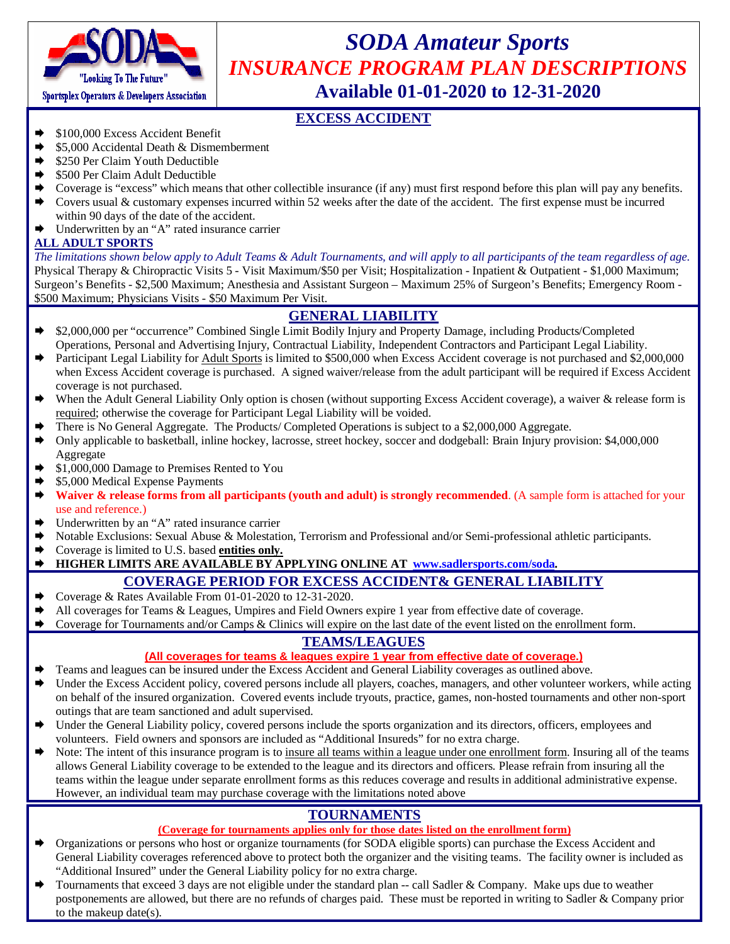

# *SODA Amateur Sports INSURANCE PROGRAM PLAN DESCRIPTIONS* **Available 01-01-2020 to 12-31-2020**

#### **EXCESS ACCIDENT**

- Æ \$100,000 Excess Accident Benefit
- Æ \$5,000 Accidental Death & Dismemberment
- \$250 Per Claim Youth Deductible
- Æ \$500 Per Claim Adult Deductible
- $\blacktriangleright$  Coverage is "excess" which means that other collectible insurance (if any) must first respond before this plan will pay any benefits.
- Covers usual & customary expenses incurred within 52 weeks after the date of the accident. The first expense must be incurred within 90 days of the date of the accident.
- $\rightarrow$  Underwritten by an "A" rated insurance carrier

#### **ALL ADULT SPORTS**

*The limitations shown below apply to Adult Teams & Adult Tournaments, and will apply to all participants of the team regardless of age.* Physical Therapy & Chiropractic Visits 5 - Visit Maximum/\$50 per Visit; Hospitalization - Inpatient & Outpatient - \$1,000 Maximum; Surgeon's Benefits - \$2,500 Maximum; Anesthesia and Assistant Surgeon – Maximum 25% of Surgeon's Benefits; Emergency Room - \$500 Maximum; Physicians Visits - \$50 Maximum Per Visit.

#### **GENERAL LIABILITY**

- Æ \$2,000,000 per "occurrence" Combined Single Limit Bodily Injury and Property Damage, including Products/Completed Operations, Personal and Advertising Injury, Contractual Liability, Independent Contractors and Participant Legal Liability.
- Participant Legal Liability for Adult Sports is limited to \$500,000 when Excess Accident coverage is not purchased and \$2,000,000 when Excess Accident coverage is purchased. A signed waiver/release from the adult participant will be required if Excess Accident coverage is not purchased.
- When the Adult General Liability Only option is chosen (without supporting Excess Accident coverage), a waiver & release form is required; otherwise the coverage for Participant Legal Liability will be voided.
- There is No General Aggregate. The Products/ Completed Operations is subject to a \$2,000,000 Aggregate.
- Æ Only applicable to basketball, inline hockey, lacrosse, street hockey, soccer and dodgeball: Brain Injury provision: \$4,000,000 Aggregate
- Æ \$1,000,000 Damage to Premises Rented to You
- \$5,000 Medical Expense Payments
- Waiver & release forms from all participants (youth and adult) is strongly recommended. (A sample form is attached for your use and reference.)
- $\rightarrow$  Underwritten by an "A" rated insurance carrier
- Notable Exclusions: Sexual Abuse & Molestation, Terrorism and Professional and/or Semi-professional athletic participants.
- **►** Coverage is limited to U.S. based **entities only.**<br>► HIGHER LIMITS ARE AVAILABLE BY AL

#### Æ **HIGHER LIMITS ARE AVAILABLE BY APPLYING ONLINE AT www.sadlersports.com/soda.**

#### **COVERAGE PERIOD FOR EXCESS ACCIDENT& GENERAL LIABILITY**

- ► Conerage & Rates Available From 01-01-2020 to 12-31-2020.
- All coverages for Teams & Leagues, Umpires and Field Owners expire 1 year from effective date of coverage.
- $\blacktriangleright$  Coverage for Tournaments and/or Camps & Clinics will expire on the last date of the event listed on the enrollment form.

#### **TEAMS/LEAGUES**

#### **(All coverages for teams & leagues expire 1 year from effective date of coverage.)**

- Teams and leagues can be insured under the Excess Accident and General Liability coverages as outlined above.
- Under the Excess Accident policy, covered persons include all players, coaches, managers, and other volunteer workers, while acting on behalf of the insured organization. Covered events include tryouts, practice, games, non-hosted tournaments and other non-sport outings that are team sanctioned and adult supervised.
- Under the General Liability policy, covered persons include the sports organization and its directors, officers, employees and volunteers. Field owners and sponsors are included as "Additional Insureds" for no extra charge.
- Note: The intent of this insurance program is to insure all teams within a league under one enrollment form. Insuring all of the teams allows General Liability coverage to be extended to the league and its directors and officers. Please refrain from insuring all the teams within the league under separate enrollment forms as this reduces coverage and results in additional administrative expense. However, an individual team may purchase coverage with the limitations noted above

#### **TOURNAMENTS**

#### **(Coverage for tournaments applies only for those dates listed on the enrollment form)**

- ◆ Organizations or persons who host or organize tournaments (for SODA eligible sports) can purchase the Excess Accident and General Liability coverages referenced above to protect both the organizer and the visiting teams. The facility owner is included as "Additional Insured" under the General Liability policy for no extra charge.
- Tournaments that exceed 3 days are not eligible under the standard plan -- call Sadler & Company. Make ups due to weather postponements are allowed, but there are no refunds of charges paid. These must be reported in writing to Sadler & Company prior to the makeup date(s).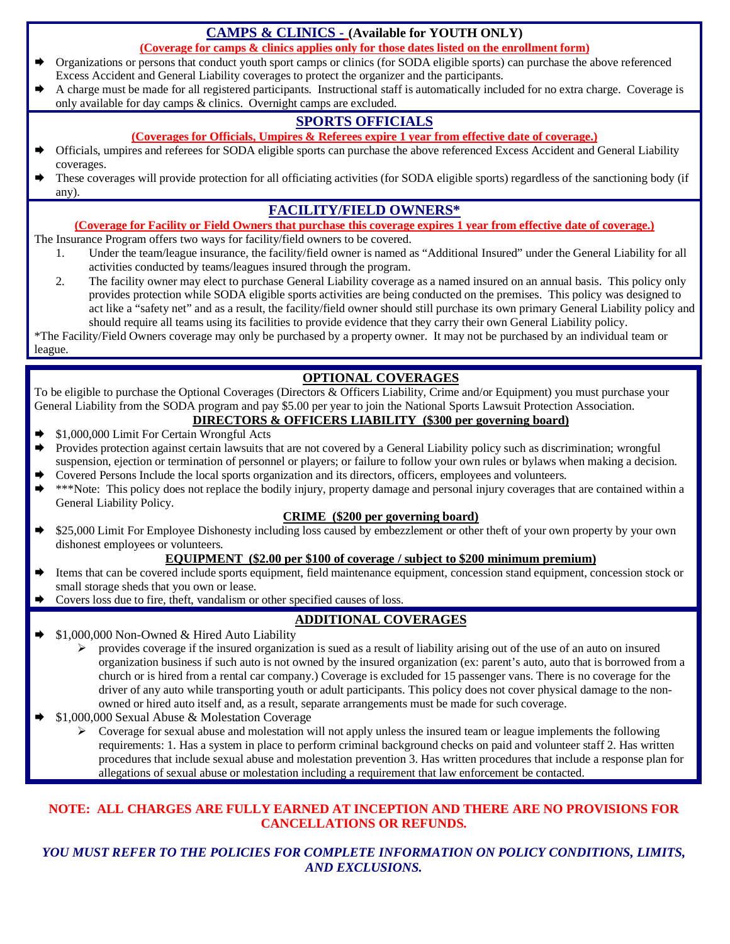#### **CAMPS & CLINICS - (Available for YOUTH ONLY)**

**(Coverage for camps & clinics applies only for those dates listed on the enrollment form)**

- Æ Organizations or persons that conduct youth sport camps or clinics (for SODA eligible sports) can purchase the above referenced Excess Accident and General Liability coverages to protect the organizer and the participants.
- Æ A charge must be made for all registered participants. Instructional staff is automatically included for no extra charge. Coverage is only available for day camps & clinics. Overnight camps are excluded.

### **SPORTS OFFICIALS**

- **(Coverages for Officials, Umpires & Referees expire 1 year from effective date of coverage.)**
- Æ Officials, umpires and referees for SODA eligible sports can purchase the above referenced Excess Accident and General Liability coverages.
- These coverages will provide protection for all officiating activities (for SODA eligible sports) regardless of the sanctioning body (if any).

#### **FACILITY/FIELD OWNERS\***

#### **(Coverage for Facility or Field Owners that purchase this coverage expires 1 year from effective date of coverage.)**

The Insurance Program offers two ways for facility/field owners to be covered.

- 1. Under the team/league insurance, the facility/field owner is named as "Additional Insured" under the General Liability for all activities conducted by teams/leagues insured through the program.
- 2. The facility owner may elect to purchase General Liability coverage as a named insured on an annual basis. This policy only provides protection while SODA eligible sports activities are being conducted on the premises. This policy was designed to act like a "safety net" and as a result, the facility/field owner should still purchase its own primary General Liability policy and should require all teams using its facilities to provide evidence that they carry their own General Liability policy.

\*The Facility/Field Owners coverage may only be purchased by a property owner. It may not be purchased by an individual team or league.

#### **OPTIONAL COVERAGES**

To be eligible to purchase the Optional Coverages (Directors & Officers Liability, Crime and/or Equipment) you must purchase your General Liability from the SODA program and pay \$5.00 per year to join the National Sports Lawsuit Protection Association.

#### **DIRECTORS & OFFICERS LIABILITY (\$300 per governing board)**

- Æ \$1,000,000 Limit For Certain Wrongful Acts
- Provides protection against certain lawsuits that are not covered by a General Liability policy such as discrimination; wrongful suspension, ejection or termination of personnel or players; or failure to follow your own rules or bylaws when making a decision.
- Æ Covered Persons Include the local sports organization and its directors, officers, employees and volunteers.
- \*\*\*Note: This policy does not replace the bodily injury, property damage and personal injury coverages that are contained within a General Liability Policy.

#### **CRIME (\$200 per governing board)**

\$25,000 Limit For Employee Dishonesty including loss caused by embezzlement or other theft of your own property by your own dishonest employees or volunteers.

#### **EQUIPMENT (\$2.00 per \$100 of coverage / subject to \$200 minimum premium)**

- Items that can be covered include sports equipment, field maintenance equipment, concession stand equipment, concession stock or small storage sheds that you own or lease.
- Covers loss due to fire, theft, vandalism or other specified causes of loss.

#### **ADDITIONAL COVERAGES**

- Æ \$1,000,000 Non-Owned & Hired Auto Liability
	- $\triangleright$  provides coverage if the insured organization is sued as a result of liability arising out of the use of an auto on insured organization business if such auto is not owned by the insured organization (ex: parent's auto, auto that is borrowed from a church or is hired from a rental car company.) Coverage is excluded for 15 passenger vans. There is no coverage for the driver of any auto while transporting youth or adult participants. This policy does not cover physical damage to the nonowned or hired auto itself and, as a result, separate arrangements must be made for such coverage.
- Æ \$1,000,000 Sexual Abuse & Molestation Coverage
	- Ø Coverage for sexual abuse and molestation will not apply unless the insured team or league implements the following requirements: 1. Has a system in place to perform criminal background checks on paid and volunteer staff 2. Has written procedures that include sexual abuse and molestation prevention 3. Has written procedures that include a response plan for allegations of sexual abuse or molestation including a requirement that law enforcement be contacted.

#### **NOTE: ALL CHARGES ARE FULLY EARNED AT INCEPTION AND THERE ARE NO PROVISIONS FOR CANCELLATIONS OR REFUNDS.**

#### *YOU MUST REFER TO THE POLICIES FOR COMPLETE INFORMATION ON POLICY CONDITIONS, LIMITS, AND EXCLUSIONS.*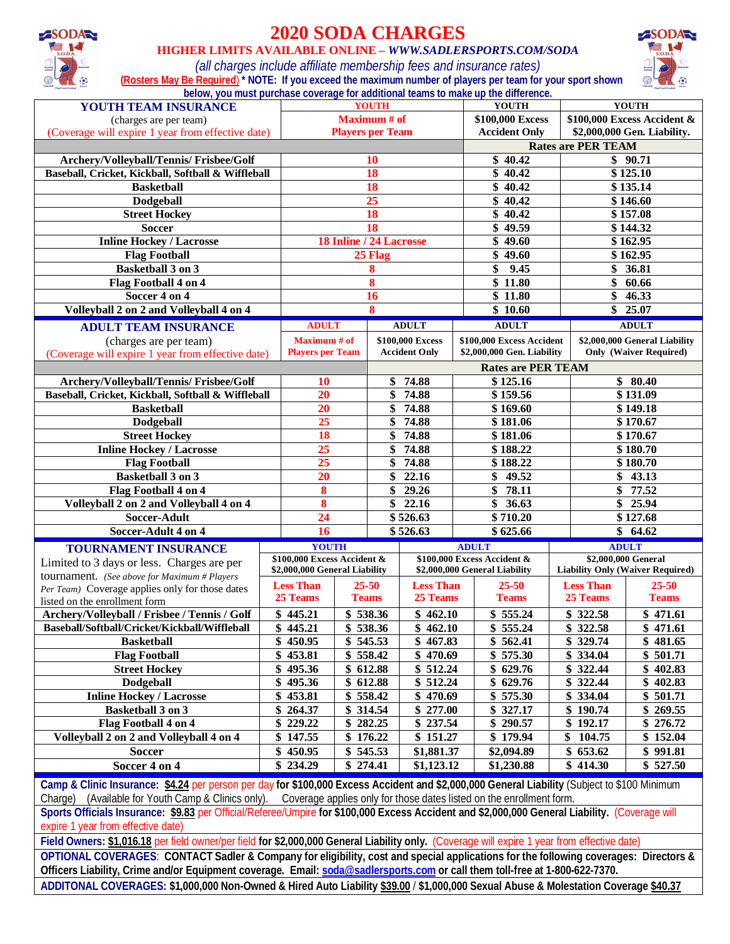

## **2020 SODA CHARGES**

#### **HIGHER LIMITS AVAILABLE ONLINE –** *WWW.SADLERSPORTS.COM/SODA*



*(all charges include affiliate membership fees and insurance rates)*  **(Rosters May Be Required**) **\* NOTE: If you exceed the maximum number of players per team for your sport shown below, you must purchase coverage for additional teams to make up the difference.**

| YOUTH TEAM INSURANCE                                                                                                                         |    | <b>YOUTH</b>                  |                        |                         | <b>YOUTH</b>              |                               | <b>YOUTH</b>                   |                             |                                         |  |
|----------------------------------------------------------------------------------------------------------------------------------------------|----|-------------------------------|------------------------|-------------------------|---------------------------|-------------------------------|--------------------------------|-----------------------------|-----------------------------------------|--|
| (charges are per team)                                                                                                                       |    | <b>Maximum</b> # of           |                        |                         |                           | \$100,000 Excess              |                                | \$100,000 Excess Accident & |                                         |  |
| (Coverage will expire 1 year from effective date)                                                                                            |    | <b>Players per Team</b>       |                        |                         |                           |                               | <b>Accident Only</b>           |                             | \$2,000,000 Gen. Liability.             |  |
|                                                                                                                                              |    |                               |                        |                         | <b>Rates are PER TEAM</b> |                               |                                |                             |                                         |  |
| Archery/Volleyball/Tennis/ Frisbee/Golf                                                                                                      |    | 10                            |                        |                         |                           | \$40.42<br>\$90.71            |                                |                             |                                         |  |
| Baseball, Cricket, Kickball, Softball & Wiffleball                                                                                           |    | 18                            |                        |                         |                           | $\sqrt{40.42}$                |                                | \$125.10                    |                                         |  |
| <b>Basketball</b>                                                                                                                            |    |                               |                        | 18                      |                           |                               | \$40.42                        |                             | \$135.14                                |  |
| <b>Dodgeball</b>                                                                                                                             |    |                               |                        | 25                      |                           |                               | \$40.42                        |                             | \$146.60                                |  |
| <b>Street Hockey</b>                                                                                                                         |    |                               |                        | 18                      |                           |                               | \$40.42                        |                             | \$157.08                                |  |
| <b>Soccer</b>                                                                                                                                |    |                               |                        | 18                      |                           |                               | \$49.59                        |                             | \$144.32                                |  |
| <b>Inline Hockey / Lacrosse</b>                                                                                                              |    |                               |                        | 18 Inline / 24 Lacrosse |                           |                               | \$49.60                        |                             | \$162.95                                |  |
|                                                                                                                                              |    |                               |                        | 25 Flag                 |                           |                               | \$49.60                        |                             | \$162.95                                |  |
| <b>Flag Football</b><br><b>Basketball 3 on 3</b>                                                                                             |    |                               |                        |                         |                           |                               | 9.45                           |                             | 36.81                                   |  |
|                                                                                                                                              |    |                               |                        | 8                       |                           | \$                            |                                | \$                          |                                         |  |
| Flag Football 4 on 4                                                                                                                         |    |                               |                        | 8                       |                           |                               | $\overline{\$}$ 11.80          | \$                          | 60.66                                   |  |
| Soccer 4 on 4                                                                                                                                |    |                               |                        | 16                      |                           |                               | $\sqrt{$}3\ \overline{$}11.80$ | \$                          | 46.33                                   |  |
| Volleyball 2 on 2 and Volleyball 4 on 4                                                                                                      |    |                               |                        | 8                       |                           |                               | $\sqrt{$}10.60$                | \$                          | 25.07                                   |  |
| <b>ADULT TEAM INSURANCE</b>                                                                                                                  |    | <b>ADULT</b>                  |                        |                         | <b>ADULT</b>              |                               | <b>ADULT</b>                   |                             | <b>ADULT</b>                            |  |
| (charges are per team)                                                                                                                       |    | Maximum # of                  |                        |                         | \$100,000 Excess          | \$100,000 Excess Accident     |                                |                             | \$2,000,000 General Liability           |  |
| (Coverage will expire 1 year from effective date)                                                                                            |    | <b>Players per Team</b>       |                        |                         | <b>Accident Only</b>      | \$2,000,000 Gen. Liability    |                                |                             | <b>Only (Waiver Required)</b>           |  |
|                                                                                                                                              |    |                               |                        |                         |                           |                               | <b>Rates are PER TEAM</b>      |                             |                                         |  |
| Archery/Volleyball/Tennis/ Frisbee/Golf                                                                                                      |    | 10                            |                        | \$                      | 74.88                     |                               | \$125.16                       |                             | \$80.40                                 |  |
| Baseball, Cricket, Kickball, Softball & Wiffleball                                                                                           |    | 20                            |                        | \$                      | 74.88                     | \$159.56                      |                                | \$131.09                    |                                         |  |
| <b>Basketball</b>                                                                                                                            |    | 20                            |                        | 74.88<br>\$             |                           | \$169.60                      |                                |                             | \$149.18                                |  |
| Dodgeball                                                                                                                                    |    | 25                            |                        | 74.88<br>\$             |                           | \$181.06                      |                                |                             | \$170.67                                |  |
| <b>Street Hockey</b>                                                                                                                         |    | 18                            |                        | \$                      | 74.88                     | \$181.06                      |                                |                             | \$170.67                                |  |
| <b>Inline Hockey / Lacrosse</b>                                                                                                              |    | 25                            |                        | \$                      | 74.88                     |                               | \$188.22                       |                             | \$180.70                                |  |
| <b>Flag Football</b>                                                                                                                         |    | 25                            |                        | \$                      | 74.88                     |                               | \$188.22                       |                             | \$180.70                                |  |
| Basketball 3 on 3                                                                                                                            |    | 20                            |                        | \$                      | 22.16                     | \$                            | 49.52                          | \$                          | 43.13                                   |  |
| Flag Football 4 on 4                                                                                                                         |    | 8                             |                        | \$                      | 29.26                     | \$                            | 78.11                          | \$                          | 77.52                                   |  |
|                                                                                                                                              |    | $\overline{\mathbf{8}}$       |                        |                         | \$22.16                   | \$                            | 36.63                          | \$                          |                                         |  |
| Volleyball 2 on 2 and Volleyball 4 on 4                                                                                                      |    | 24                            |                        |                         |                           |                               |                                |                             | 25.94                                   |  |
| Soccer-Adult                                                                                                                                 |    |                               | \$526.63               |                         | \$710.20<br>\$625.66      |                               |                                | \$127.68                    |                                         |  |
| Soccer-Adult 4 on 4                                                                                                                          |    | 16                            |                        | \$526.63                |                           |                               |                                | \$                          | 64.62                                   |  |
| <b>TOURNAMENT INSURANCE</b>                                                                                                                  |    | <b>YOUTH</b>                  |                        |                         |                           | <b>ADULT</b>                  |                                |                             | <b>ADULT</b>                            |  |
| Limited to 3 days or less. Charges are per                                                                                                   |    | \$100,000 Excess Accident &   |                        |                         |                           | \$100,000 Excess Accident &   |                                |                             | \$2,000,000 General                     |  |
| tournament. (See above for Maximum # Players                                                                                                 |    | \$2,000,000 General Liability |                        |                         |                           | \$2,000,000 General Liability |                                |                             | <b>Liability Only (Waiver Required)</b> |  |
| Per Team) Coverage applies only for those dates                                                                                              |    | <b>Less Than</b>              |                        | $25 - 50$               | <b>Less Than</b>          |                               | $25 - 50$                      | <b>Less Than</b>            | $25 - 50$                               |  |
| listed on the enrollment form                                                                                                                |    | 25 Teams                      | <b>Teams</b>           |                         | 25 Teams                  |                               | <b>Teams</b>                   | 25 Teams                    | <b>Teams</b>                            |  |
| Archery/Volleyball / Frisbee / Tennis / Golf                                                                                                 |    | $\sqrt{$}$ 445.21             | $\overline{\$}$ 538.36 |                         | \$462.10                  |                               | \$555.24                       | \$322.58                    | \$471.61                                |  |
| Baseball/Softball/Cricket/Kickball/Wiffleball                                                                                                |    | \$445.21                      | \$538.36               |                         | $\sqrt{$}462.10$          |                               | \$555.24                       | \$322.58                    | \$471.61                                |  |
| <b>Basketball</b>                                                                                                                            |    | \$450.95                      | \$545.53               |                         | \$467.83                  |                               | \$562.41                       | \$329.74                    | \$481.65                                |  |
| <b>Flag Football</b>                                                                                                                         |    | \$453.81                      | \$558.42               |                         | \$470.69                  |                               | \$575.30                       | \$334.04                    | \$501.71                                |  |
| <b>Street Hockey</b>                                                                                                                         |    | 495.36                        | \$612.88               |                         | \$512.24                  |                               | \$629.76                       | \$322.44                    | \$402.83                                |  |
| <b>Dodgeball</b>                                                                                                                             |    | \$495.36                      | \$612.88               |                         | \$512.24                  |                               | \$629.76                       | \$322.44                    | \$402.83                                |  |
| <b>Inline Hockey / Lacrosse</b>                                                                                                              |    | 453.81                        | \$558.42               |                         | \$470.69                  |                               | $\overline{\$}$ 575.30         | \$334.04                    | \$501.71                                |  |
| <b>Basketball 3 on 3</b>                                                                                                                     |    | 264.37                        |                        | \$ 314.54               | \$277.00                  |                               | \$327.17                       | \$190.74                    | \$269.55                                |  |
| Flag Football 4 on 4                                                                                                                         |    | 229.22                        |                        | \$282.25                | \$237.54                  |                               | \$290.57                       | \$192.17                    | \$276.72                                |  |
| Volleyball 2 on 2 and Volleyball 4 on 4                                                                                                      |    | \$147.55                      | \$176.22               |                         | \$151.27                  |                               | \$179.94                       | 104.75<br>\$                | \$152.04                                |  |
| <b>Soccer</b>                                                                                                                                | \$ | 450.95                        | \$545.53               |                         | \$1,881.37                |                               | \$2,094.89                     | \$653.62                    | \$991.81                                |  |
| Soccer 4 on 4                                                                                                                                |    | \$234.29                      | \$274.41               |                         | \$1,123.12                |                               | \$1,230.88                     | \$414.30                    | \$527.50                                |  |
|                                                                                                                                              |    |                               |                        |                         |                           |                               |                                |                             |                                         |  |
| Camp & Clinic Insurance: \$4.24 per person per day for \$100,000 Excess Accident and \$2,000,000 General Liability (Subject to \$100 Minimum |    |                               |                        |                         |                           |                               |                                |                             |                                         |  |

Charge) (Available for Youth Camp & Clinics only). Coverage applies only for those dates listed on the enrollment form.

**Sports Officials Insurance: \$9.83** per Official/Referee/Umpire **for \$100,000 Excess Accident and \$2,000,000 General Liability.** (Coverage will expire 1 year from effective date)

**Field Owners: \$1,016.18** per field owner/per field **for \$2,000,000 General Liability only.** (Coverage will expire 1 year from effective date)

**OPTIONAL COVERAGES**: **CONTACT Sadler & Company for eligibility, cost and special applications for the following coverages: Directors & Officers Liability, Crime and/or Equipment coverage. Email: soda@sadlersports.com or call them toll-free at 1-800-622-7370.**

**ADDITONAL COVERAGES: \$1,000,000 Non-Owned & Hired Auto Liability \$39.00** / **\$1,000,000 Sexual Abuse & Molestation Coverage \$40.37**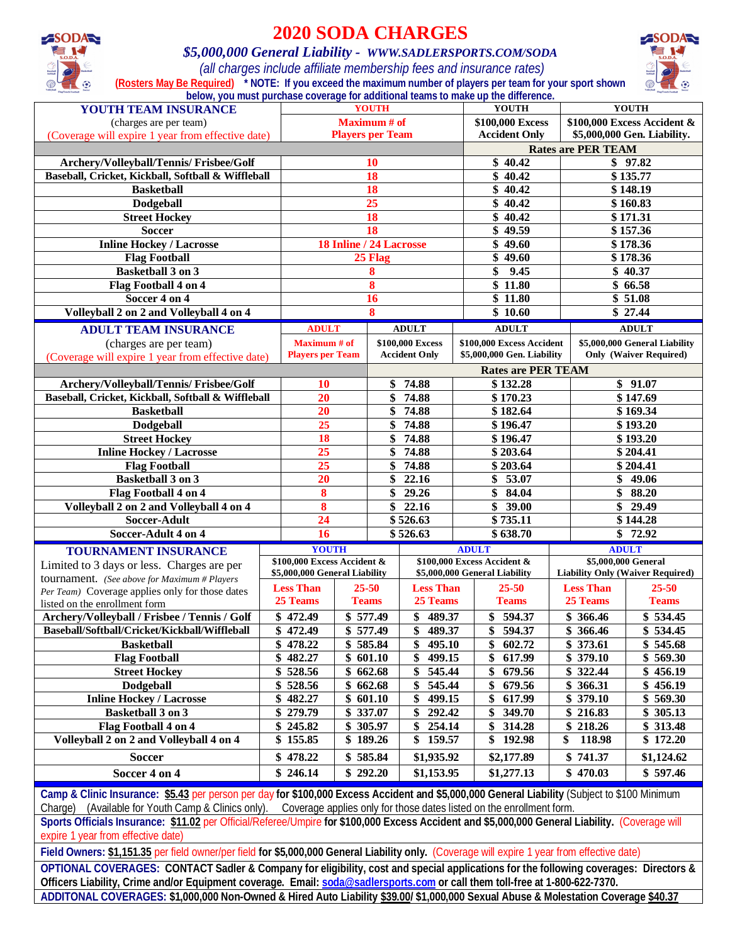

# **2020 SODA CHARGES**

#### *\$5,000,000 General Liability - WWW.SADLERSPORTS.COM/SODA*

 *(all charges include affiliate membership fees and insurance rates)* **(Rosters May Be Required) \* NOTE: If you exceed the maximum number of players per team for your sport shown below, you must purchase coverage for additional teams to make up the difference.**



| YOUTH TEAM INSURANCE                                                        |                                                |                             | <b>YOUTH</b>           |                                          | YOUTH                                                   |                                      |                                                                | <b>YOUTH</b>                            |  |
|-----------------------------------------------------------------------------|------------------------------------------------|-----------------------------|------------------------|------------------------------------------|---------------------------------------------------------|--------------------------------------|----------------------------------------------------------------|-----------------------------------------|--|
| (charges are per team)                                                      |                                                |                             | <b>Maximum</b> # of    |                                          |                                                         | \$100,000 Excess                     |                                                                | \$100,000 Excess Accident &             |  |
| (Coverage will expire 1 year from effective date)                           |                                                | <b>Players per Team</b>     |                        |                                          | <b>Accident Only</b>                                    |                                      | \$5,000,000 Gen. Liability.                                    |                                         |  |
|                                                                             |                                                |                             |                        |                                          |                                                         | <b>Rates are PER TEAM</b><br>\$97.82 |                                                                |                                         |  |
| Archery/Volleyball/Tennis/ Frisbee/Golf                                     |                                                |                             | 10                     |                                          | \$40.42                                                 |                                      |                                                                | \$135.77                                |  |
| Baseball, Cricket, Kickball, Softball & Wiffleball                          |                                                |                             | 18                     |                                          | \$40.42                                                 |                                      |                                                                |                                         |  |
| <b>Basketball</b>                                                           |                                                |                             | 18                     |                                          | \$40.42                                                 |                                      |                                                                | \$148.19                                |  |
| <b>Dodgeball</b>                                                            |                                                |                             | 25                     |                                          | \$40.42                                                 |                                      |                                                                | \$160.83                                |  |
| <b>Street Hockey</b>                                                        |                                                |                             | 18                     |                                          |                                                         | \$<br>40.42                          |                                                                | \$171.31                                |  |
| <b>Soccer</b>                                                               |                                                |                             | <b>18</b>              |                                          | \$49.59                                                 |                                      |                                                                | \$157.36                                |  |
| <b>Inline Hockey / Lacrosse</b>                                             |                                                | 18 Inline / 24 Lacrosse     |                        |                                          | \$49.60                                                 |                                      |                                                                | \$178.36                                |  |
| <b>Flag Football</b>                                                        |                                                |                             | 25 Flag                |                                          | \$49.60                                                 |                                      |                                                                | \$178.36                                |  |
| <b>Basketball 3 on 3</b>                                                    |                                                |                             | 8                      |                                          | \$<br>9.45                                              |                                      |                                                                | \$40.37                                 |  |
| Flag Football 4 on 4                                                        |                                                |                             | 8                      |                                          | $\frac{1}{11.80}$                                       |                                      |                                                                | \$66.58                                 |  |
| Soccer 4 on 4<br>Volleyball 2 on 2 and Volleyball 4 on 4                    |                                                |                             | 16<br>8                |                                          | $\frac{1}{11.80}$<br>\$10.60                            |                                      |                                                                | \$51.08<br>\$27.44                      |  |
|                                                                             |                                                |                             |                        |                                          |                                                         |                                      |                                                                |                                         |  |
| <b>ADULT TEAM INSURANCE</b>                                                 | <b>ADULT</b>                                   |                             |                        | <b>ADULT</b>                             | <b>ADULT</b>                                            |                                      |                                                                | <b>ADULT</b>                            |  |
| (charges are per team)<br>(Coverage will expire 1 year from effective date) | <b>Maximum</b> # of<br><b>Players per Team</b> |                             |                        | \$100,000 Excess<br><b>Accident Only</b> | \$100,000 Excess Accident<br>\$5,000,000 Gen. Liability |                                      | \$5,000,000 General Liability<br><b>Only (Waiver Required)</b> |                                         |  |
|                                                                             |                                                |                             |                        |                                          | <b>Rates are PER TEAM</b>                               |                                      |                                                                |                                         |  |
| Archery/Volleyball/Tennis/ Frisbee/Golf                                     |                                                | \$<br>74.88<br>10           |                        | \$132.28                                 |                                                         | \$91.07                              |                                                                |                                         |  |
| Baseball, Cricket, Kickball, Softball & Wiffleball                          | 20                                             |                             | \$                     | 74.88                                    | \$170.23                                                |                                      | \$147.69                                                       |                                         |  |
| <b>Basketball</b>                                                           | 20                                             |                             | 74.88<br>\$            |                                          | \$182.64                                                |                                      | \$169.34                                                       |                                         |  |
| <b>Dodgeball</b>                                                            | 25                                             |                             | 74.88<br>\$            |                                          | \$196.47                                                |                                      |                                                                | \$193.20                                |  |
| <b>Street Hockey</b>                                                        | 18                                             |                             | \$                     | 74.88                                    | \$196.47                                                |                                      |                                                                | \$193.20                                |  |
| <b>Inline Hockey / Lacrosse</b>                                             | 25                                             |                             | \$                     | 74.88                                    | \$203.64                                                |                                      |                                                                | \$204.41                                |  |
| <b>Flag Football</b>                                                        | 25                                             |                             | \$                     | 74.88                                    | \$203.64                                                |                                      |                                                                | \$204.41                                |  |
| <b>Basketball 3 on 3</b>                                                    | $\overline{20}$                                |                             | \$                     | 22.16                                    | \$<br>53.07                                             |                                      | \$                                                             | 49.06                                   |  |
| Flag Football 4 on 4                                                        | 8                                              |                             | \$                     | 29.26                                    | \$<br>84.04                                             |                                      | \$                                                             | 88.20                                   |  |
| Volleyball 2 on 2 and Volleyball 4 on 4                                     | 8                                              |                             | \$                     | 22.16                                    | \$<br>39.00                                             |                                      | \$                                                             | 29.49                                   |  |
| Soccer-Adult                                                                |                                                | $\overline{24}$<br>\$526.63 |                        | \$735.11                                 |                                                         |                                      | \$144.28                                                       |                                         |  |
| Soccer-Adult 4 on 4                                                         | 16                                             |                             |                        | $\sqrt{$}526.63$                         | \$638.70                                                |                                      |                                                                | \$72.92                                 |  |
| <b>TOURNAMENT INSURANCE</b>                                                 |                                                | <b>YOUTH</b>                |                        |                                          | <b>ADULT</b>                                            |                                      | <b>ADULT</b>                                                   |                                         |  |
| Limited to 3 days or less. Charges are per                                  | \$100,000 Excess Accident &                    |                             |                        |                                          | \$100,000 Excess Accident &                             |                                      | \$5,000,000 General                                            |                                         |  |
| tournament. (See above for Maximum # Players                                | \$5,000,000 General Liability                  |                             |                        |                                          | \$5,000,000 General Liability                           |                                      |                                                                | <b>Liability Only (Waiver Required)</b> |  |
| Per Team) Coverage applies only for those dates                             | <b>Less Than</b>                               |                             | $25 - 50$              | <b>Less Than</b>                         | $25 - 50$                                               |                                      | <b>Less Than</b>                                               | $25 - 50$                               |  |
| listed on the enrollment form                                               | 25 Teams                                       |                             | <b>Teams</b>           | 25 Teams                                 | <b>Teams</b>                                            |                                      | 25 Teams                                                       | <b>Teams</b>                            |  |
| Archery/Volleyball / Frisbee / Tennis / Golf                                | $\sqrt{$}472.49$                               |                             | $\overline{\$}$ 577.49 | \$<br>489.37                             | \$<br>594.37                                            |                                      | \$366.46                                                       | \$534.45                                |  |
| Baseball/Softball/Cricket/Kickball/Wiffleball                               | \$<br>472.49                                   |                             | \$577.49               | \$<br>489.37                             | \$<br>594.37                                            |                                      | $\overline{\$}$ 366.46                                         | \$534.45                                |  |
| <b>Basketball</b>                                                           | \$478.22                                       |                             | \$585.84               | \$495.10                                 | 602.72<br>\$                                            |                                      | \$373.61                                                       | \$545.68                                |  |
| <b>Flag Football</b>                                                        | 482.27<br>\$                                   |                             | \$601.10               | \$<br>499.15                             | \$<br>617.99                                            |                                      | 379.10                                                         | \$569.30                                |  |
| <b>Street Hockey</b>                                                        | \$528.56                                       |                             | \$662.68               | 545.44<br>\$                             | \$<br>679.56                                            |                                      | 322.44                                                         | \$456.19                                |  |
| <b>Dodgeball</b>                                                            | \$                                             | 528.56<br>\$662.68          |                        | \$<br>545.44                             | \$<br>679.56                                            |                                      | 366.31<br>\$                                                   | \$456.19                                |  |
| <b>Inline Hockey / Lacrosse</b>                                             |                                                | \$601.10<br>\$482.27        |                        | \$<br>499.15                             | \$<br>617.99                                            |                                      | \$379.10                                                       | \$569.30                                |  |
| <b>Basketball 3 on 3</b>                                                    |                                                | \$279.79<br>\$337.07        |                        | \$<br>292.42                             | \$<br>349.70                                            |                                      | \$<br>216.83                                                   | \$305.13                                |  |
| Flag Football 4 on 4                                                        | \$245.82                                       | \$ 305.97                   |                        | \$<br>254.14                             | 314.28<br>\$                                            |                                      | 218.26<br>\$                                                   | \$313.48                                |  |
| Volleyball 2 on 2 and Volleyball 4 on 4                                     | 155.85<br>\$                                   |                             | \$189.26               | \$<br>159.57                             | 192.98<br>\$                                            | \$                                   | 118.98                                                         | \$172.20                                |  |
| <b>Soccer</b>                                                               | 478.22<br>\$                                   |                             | \$585.84               | \$1,935.92                               | \$2,177.89                                              |                                      | \$741.37                                                       | \$1,124.62                              |  |
| Soccer 4 on 4                                                               | \$246.14                                       |                             | \$292.20               | \$1,153.95                               | \$1,277.13                                              |                                      | \$470.03                                                       | \$597.46                                |  |

**Camp & Clinic Insurance: \$5.43** per person per day **for \$100,000 Excess Accident and \$5,000,000 General Liability** (Subject to \$100 Minimum Charge) (Available for Youth Camp & Clinics only). Coverage applies only for those dates listed on the enrollment form.

**Sports Officials Insurance: \$11.02** per Official/Referee/Umpire **for \$100,000 Excess Accident and \$5,000,000 General Liability.** (Coverage will expire 1 year from effective date)

**Field Owners: \$1,151.35** per field owner/per field **for \$5,000,000 General Liability only.** (Coverage will expire 1 year from effective date)

**OPTIONAL COVERAGES: CONTACT Sadler & Company for eligibility, cost and special applications for the following coverages: Directors & Officers Liability, Crime and/or Equipment coverage. Email: soda@sadlersports.com or call them toll-free at 1-800-622-7370. ADDITONAL COVERAGES: \$1,000,000 Non-Owned & Hired Auto Liability \$39.00/ \$1,000,000 Sexual Abuse & Molestation Coverage \$40.37**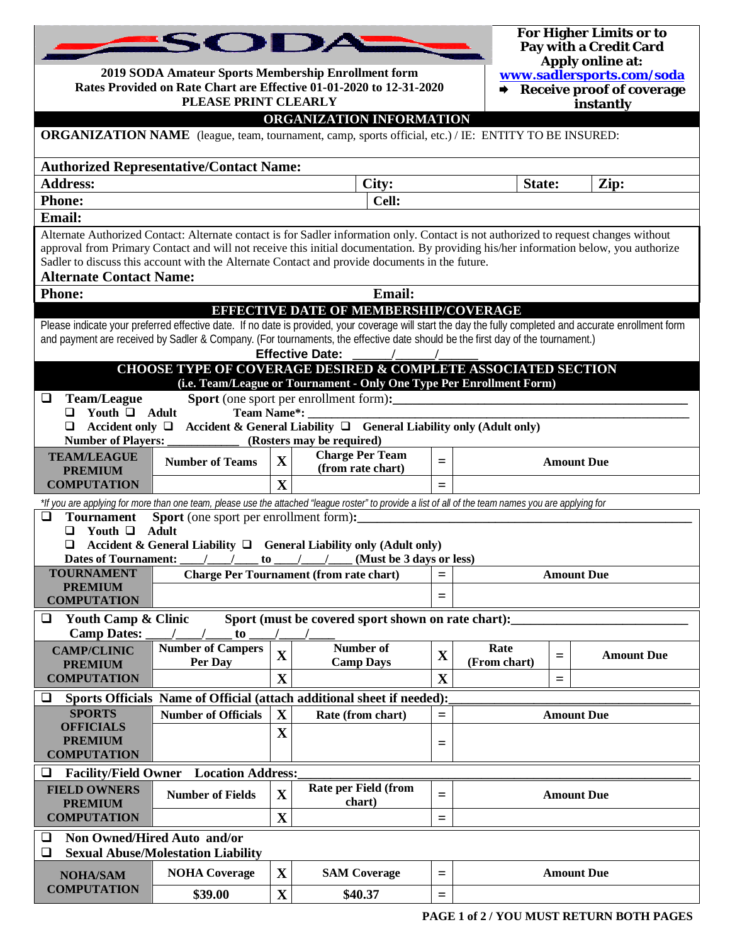|                                             | SODA                                                                                                                       |             |                                                                                                                                                                                                                                                                              |                                                                            |              |     | For Higher Limits or to<br>Pay with a Credit Card |
|---------------------------------------------|----------------------------------------------------------------------------------------------------------------------------|-------------|------------------------------------------------------------------------------------------------------------------------------------------------------------------------------------------------------------------------------------------------------------------------------|----------------------------------------------------------------------------|--------------|-----|---------------------------------------------------|
|                                             | 2019 SODA Amateur Sports Membership Enrollment form<br>Rates Provided on Rate Chart are Effective 01-01-2020 to 12-31-2020 |             |                                                                                                                                                                                                                                                                              | Apply online at:<br>www.sadlersports.com/soda<br>Receive proof of coverage |              |     |                                                   |
|                                             | PLEASE PRINT CLEARLY                                                                                                       |             |                                                                                                                                                                                                                                                                              | instantly                                                                  |              |     |                                                   |
|                                             |                                                                                                                            |             | ORGANIZATION INFORMATION                                                                                                                                                                                                                                                     |                                                                            |              |     |                                                   |
|                                             |                                                                                                                            |             | <b>ORGANIZATION NAME</b> (league, team, tournament, camp, sports official, etc.) / IE: ENTITY TO BE INSURED:                                                                                                                                                                 |                                                                            |              |     |                                                   |
|                                             | <b>Authorized Representative/Contact Name:</b>                                                                             |             |                                                                                                                                                                                                                                                                              |                                                                            |              |     |                                                   |
| <b>Address:</b>                             |                                                                                                                            |             | City:                                                                                                                                                                                                                                                                        |                                                                            | State:       |     | Zip:                                              |
| <b>Phone:</b>                               |                                                                                                                            |             | Cell:                                                                                                                                                                                                                                                                        |                                                                            |              |     |                                                   |
| Email:                                      |                                                                                                                            |             |                                                                                                                                                                                                                                                                              |                                                                            |              |     |                                                   |
|                                             |                                                                                                                            |             | Alternate Authorized Contact: Alternate contact is for Sadler information only. Contact is not authorized to request changes without<br>approval from Primary Contact and will not receive this initial documentation. By providing his/her information below, you authorize |                                                                            |              |     |                                                   |
| <b>Alternate Contact Name:</b>              |                                                                                                                            |             | Sadler to discuss this account with the Alternate Contact and provide documents in the future.                                                                                                                                                                               |                                                                            |              |     |                                                   |
| <b>Phone:</b>                               |                                                                                                                            |             | Email:                                                                                                                                                                                                                                                                       |                                                                            |              |     |                                                   |
|                                             |                                                                                                                            |             | <b>EFFECTIVE DATE OF MEMBERSHIP/COVERAGE</b>                                                                                                                                                                                                                                 |                                                                            |              |     |                                                   |
|                                             |                                                                                                                            |             | Please indicate your preferred effective date. If no date is provided, your coverage will start the day the fully completed and accurate enrollment form                                                                                                                     |                                                                            |              |     |                                                   |
|                                             |                                                                                                                            |             | and payment are received by Sadler & Company. (For tournaments, the effective date should be the first day of the tournament.)                                                                                                                                               |                                                                            |              |     |                                                   |
|                                             |                                                                                                                            |             | <b>Effective Date:</b><br><b>CHOOSE TYPE OF COVERAGE DESIRED &amp; COMPLETE ASSOCIATED SECTION</b>                                                                                                                                                                           |                                                                            |              |     |                                                   |
|                                             |                                                                                                                            |             | (i.e. Team/League or Tournament - Only One Type Per Enrollment Form)                                                                                                                                                                                                         |                                                                            |              |     |                                                   |
| <b>Team/League</b><br>⊔                     |                                                                                                                            |             |                                                                                                                                                                                                                                                                              |                                                                            |              |     |                                                   |
| Youth $\Box$ Adult                          | Team Name*:                                                                                                                |             |                                                                                                                                                                                                                                                                              |                                                                            |              |     |                                                   |
| $\Box$<br><b>Number of Players:</b>         |                                                                                                                            |             | Accident only $\Box$ Accident & General Liability $\Box$ General Liability only (Adult only)<br>(Rosters may be required)                                                                                                                                                    |                                                                            |              |     |                                                   |
| <b>TEAM/LEAGUE</b>                          |                                                                                                                            |             | <b>Charge Per Team</b>                                                                                                                                                                                                                                                       |                                                                            |              |     |                                                   |
| <b>PREMIUM</b>                              | <b>Number of Teams</b>                                                                                                     | $\mathbf X$ | (from rate chart)                                                                                                                                                                                                                                                            | $=$                                                                        |              |     | <b>Amount Due</b>                                 |
| <b>COMPUTATION</b>                          |                                                                                                                            | X           |                                                                                                                                                                                                                                                                              | $=$                                                                        |              |     |                                                   |
|                                             |                                                                                                                            |             | *If you are applying for more than one team, please use the attached "league roster" to provide a list of all of the team names you are applying for                                                                                                                         |                                                                            |              |     |                                                   |
| <b>Tournament</b><br>❏<br>Youth $\Box$<br>□ | <b>Sport</b> (one sport per enrollment form):<br>Adult                                                                     |             |                                                                                                                                                                                                                                                                              |                                                                            |              |     |                                                   |
| ⊔                                           |                                                                                                                            |             | Accident & General Liability $\Box$ General Liability only (Adult only)                                                                                                                                                                                                      |                                                                            |              |     |                                                   |
|                                             |                                                                                                                            |             | Dates of Tournament: / / to / / (Must be 3 days or less)                                                                                                                                                                                                                     |                                                                            |              |     |                                                   |
| <b>TOURNAMENT</b><br><b>PREMIUM</b>         |                                                                                                                            |             | <b>Charge Per Tournament (from rate chart)</b>                                                                                                                                                                                                                               | $=$                                                                        |              |     | <b>Amount Due</b>                                 |
| <b>COMPUTATION</b>                          |                                                                                                                            |             |                                                                                                                                                                                                                                                                              | $=$                                                                        |              |     |                                                   |
| <b>Youth Camp &amp; Clinic</b><br>❏         |                                                                                                                            |             | Sport (must be covered sport shown on rate chart):                                                                                                                                                                                                                           |                                                                            |              |     |                                                   |
| <b>Camp Dates:</b>                          | to                                                                                                                         |             |                                                                                                                                                                                                                                                                              |                                                                            |              |     |                                                   |
| <b>CAMP/CLINIC</b>                          | <b>Number of Campers</b>                                                                                                   | $\mathbf X$ | <b>Number of</b>                                                                                                                                                                                                                                                             | $\mathbf X$                                                                | Rate         | $=$ | <b>Amount Due</b>                                 |
| <b>PREMIUM</b><br><b>COMPUTATION</b>        | Per Day                                                                                                                    | X           | <b>Camp Days</b>                                                                                                                                                                                                                                                             | $\mathbf X$                                                                | (From chart) |     |                                                   |
| ❏                                           |                                                                                                                            |             | Sports Officials Name of Official (attach additional sheet if needed):                                                                                                                                                                                                       |                                                                            |              | Ξ   |                                                   |
| <b>SPORTS</b>                               | <b>Number of Officials</b>                                                                                                 | X           | Rate (from chart)                                                                                                                                                                                                                                                            | $=$                                                                        |              |     | <b>Amount Due</b>                                 |
| <b>OFFICIALS</b>                            |                                                                                                                            | $\mathbf X$ |                                                                                                                                                                                                                                                                              |                                                                            |              |     |                                                   |
|                                             | <b>PREMIUM</b><br>$=$                                                                                                      |             |                                                                                                                                                                                                                                                                              |                                                                            |              |     |                                                   |
| <b>COMPUTATION</b>                          |                                                                                                                            |             |                                                                                                                                                                                                                                                                              |                                                                            |              |     |                                                   |
| <b>FIELD OWNERS</b>                         | <b>Location Address:</b><br><b>Facility/Field Owner</b><br>⊔<br>Rate per Field (from                                       |             |                                                                                                                                                                                                                                                                              |                                                                            |              |     |                                                   |
| <b>PREMIUM</b>                              | <b>Number of Fields</b>                                                                                                    | $\mathbf X$ | chart)                                                                                                                                                                                                                                                                       | $=$                                                                        |              |     | <b>Amount Due</b>                                 |
| <b>COMPUTATION</b>                          |                                                                                                                            | X           |                                                                                                                                                                                                                                                                              | $=$                                                                        |              |     |                                                   |
| ⊔                                           | Non Owned/Hired Auto and/or                                                                                                |             |                                                                                                                                                                                                                                                                              |                                                                            |              |     |                                                   |
| ❏                                           | <b>Sexual Abuse/Molestation Liability</b>                                                                                  |             |                                                                                                                                                                                                                                                                              |                                                                            |              |     |                                                   |
| <b>NOHA/SAM</b>                             | <b>NOHA Coverage</b>                                                                                                       | X           | <b>SAM Coverage</b>                                                                                                                                                                                                                                                          | $=$                                                                        |              |     | <b>Amount Due</b>                                 |
| <b>COMPUTATION</b>                          | \$39.00                                                                                                                    | $\mathbf X$ | \$40.37                                                                                                                                                                                                                                                                      | $=$                                                                        |              |     |                                                   |
|                                             |                                                                                                                            |             |                                                                                                                                                                                                                                                                              |                                                                            |              |     |                                                   |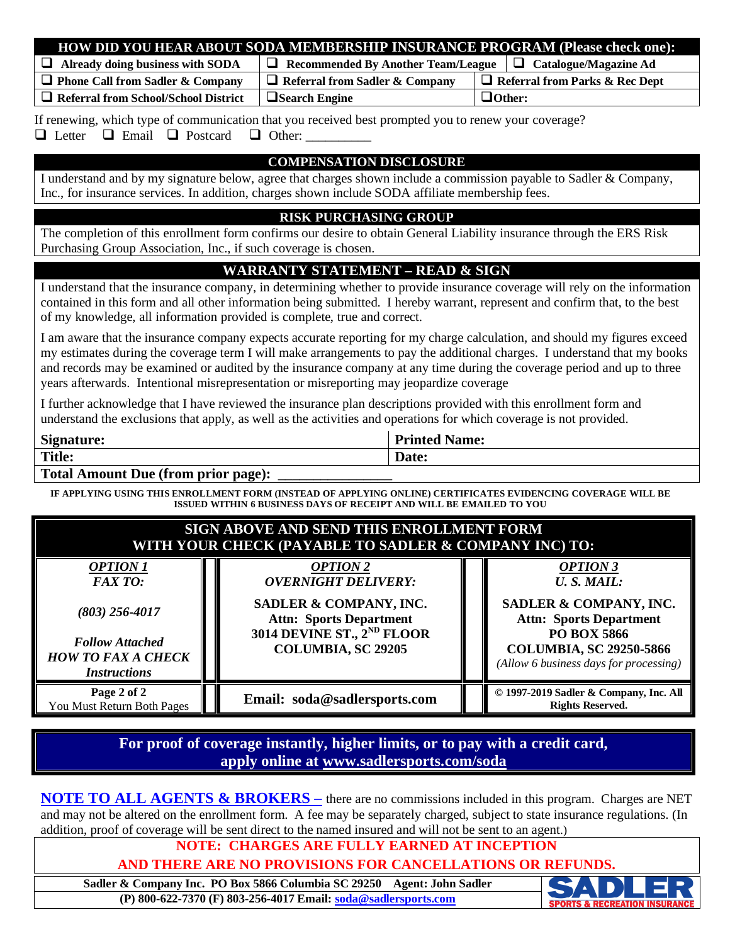| HOW DID YOU HEAR ABOUT SODA MEMBERSHIP INSURANCE PROGRAM (Please check one):                                                                                     |                                                                        |                                       |  |  |  |  |
|------------------------------------------------------------------------------------------------------------------------------------------------------------------|------------------------------------------------------------------------|---------------------------------------|--|--|--|--|
| $\Box$ Already doing business with SODA                                                                                                                          | $\Box$ Recommended By Another Team/League $\Box$ Catalogue/Magazine Ad |                                       |  |  |  |  |
| $\Box$ Phone Call from Sadler & Company                                                                                                                          | $\Box$ Referral from Sadler & Company                                  | $\Box$ Referral from Parks & Rec Dept |  |  |  |  |
| $\Box$ Referral from School/School District                                                                                                                      | $\Box$ Search Engine                                                   | $\Box$ Other:                         |  |  |  |  |
| If renewing, which type of communication that you received best prompted you to renew your coverage?<br>$\Box$ Letter $\Box$ Email $\Box$ Postcard $\Box$ Other: |                                                                        |                                       |  |  |  |  |
|                                                                                                                                                                  | <b>COMPENSATION DISCLOSURE</b>                                         |                                       |  |  |  |  |
| I understand and by my signature below, agree that charges shown include a commission payable to Sadler & Company,                                               |                                                                        |                                       |  |  |  |  |
| Inc., for insurance services. In addition, charges shown include SODA affiliate membership fees.                                                                 |                                                                        |                                       |  |  |  |  |
|                                                                                                                                                                  |                                                                        |                                       |  |  |  |  |
| <b>RISK PURCHASING GROUP</b>                                                                                                                                     |                                                                        |                                       |  |  |  |  |
| The completion of this enrollment form confirms our desire to obtain General Liability insurance through the ERS Risk                                            |                                                                        |                                       |  |  |  |  |
|                                                                                                                                                                  | Purchasing Group Association, Inc., if such coverage is chosen.        |                                       |  |  |  |  |

#### **WARRANTY STATEMENT – READ & SIGN**

I understand that the insurance company, in determining whether to provide insurance coverage will rely on the information contained in this form and all other information being submitted. I hereby warrant, represent and confirm that, to the best of my knowledge, all information provided is complete, true and correct.

I am aware that the insurance company expects accurate reporting for my charge calculation, and should my figures exceed my estimates during the coverage term I will make arrangements to pay the additional charges. I understand that my books and records may be examined or audited by the insurance company at any time during the coverage period and up to three years afterwards. Intentional misrepresentation or misreporting may jeopardize coverage

I further acknowledge that I have reviewed the insurance plan descriptions provided with this enrollment form and understand the exclusions that apply, as well as the activities and operations for which coverage is not provided.

| $\sim$<br>Signature:           | <b>Drintod</b><br>rinted Name: |
|--------------------------------|--------------------------------|
| <b>Title:</b>                  | Date:                          |
| $\sim$ $\sim$<br>$\sim$ $\sim$ |                                |

#### **Total Amount Due (from prior page):**

**IF APPLYING USING THIS ENROLLMENT FORM (INSTEAD OF APPLYING ONLINE) CERTIFICATES EVIDENCING COVERAGE WILL BE ISSUED WITHIN 6 BUSINESS DAYS OF RECEIPT AND WILL BE EMAILED TO YOU**

| SIGN ABOVE AND SEND THIS ENROLLMENT FORM<br>WITH YOUR CHECK (PAYABLE TO SADLER & COMPANY INC) TO:                           |                                                                                                                                                                                  |                                                                                                                                                                                                    |  |  |  |
|-----------------------------------------------------------------------------------------------------------------------------|----------------------------------------------------------------------------------------------------------------------------------------------------------------------------------|----------------------------------------------------------------------------------------------------------------------------------------------------------------------------------------------------|--|--|--|
| <b>OPTION 1</b><br>FAXTO:<br>$(803)$ 256-4017<br><b>Follow Attached</b><br><b>HOW TO FAX A CHECK</b><br><b>Instructions</b> | <b>OPTION 2</b><br><b>OVERNIGHT DELIVERY:</b><br>SADLER & COMPANY, INC.<br><b>Attn: Sports Department</b><br>3014 DEVINE ST., 2 <sup>ND</sup> FLOOR<br><b>COLUMBIA, SC 29205</b> | <b>OPTION 3</b><br><b>U.S. MAIL:</b><br>SADLER & COMPANY, INC.<br><b>Attn: Sports Department</b><br><b>PO BOX 5866</b><br><b>COLUMBIA, SC 29250-5866</b><br>(Allow 6 business days for processing) |  |  |  |
| Page 2 of 2<br>You Must Return Both Pages                                                                                   | Email: soda@sadlersports.com                                                                                                                                                     | © 1997-2019 Sadler & Company, Inc. All<br><b>Rights Reserved.</b>                                                                                                                                  |  |  |  |

#### **For proof of coverage instantly, higher limits, or to pay with a credit card, apply online at www.sadlersports.com/soda**

**NOTE TO ALL AGENTS & BROKERS** – there are no commissions included in this program. Charges are NET and may not be altered on the enrollment form. A fee may be separately charged, subject to state insurance regulations. (In addition, proof of coverage will be sent direct to the named insured and will not be sent to an agent.)

### **NOTE: CHARGES ARE FULLY EARNED AT INCEPTION**

**AND THERE ARE NO PROVISIONS FOR CANCELLATIONS OR REFUNDS.**

**Sadler & Company Inc. PO Box 5866 Columbia SC 29250 Agent: John Sadler (P) 800-622-7370 (F) 803-256-4017 Email: soda@sadlersports.com**

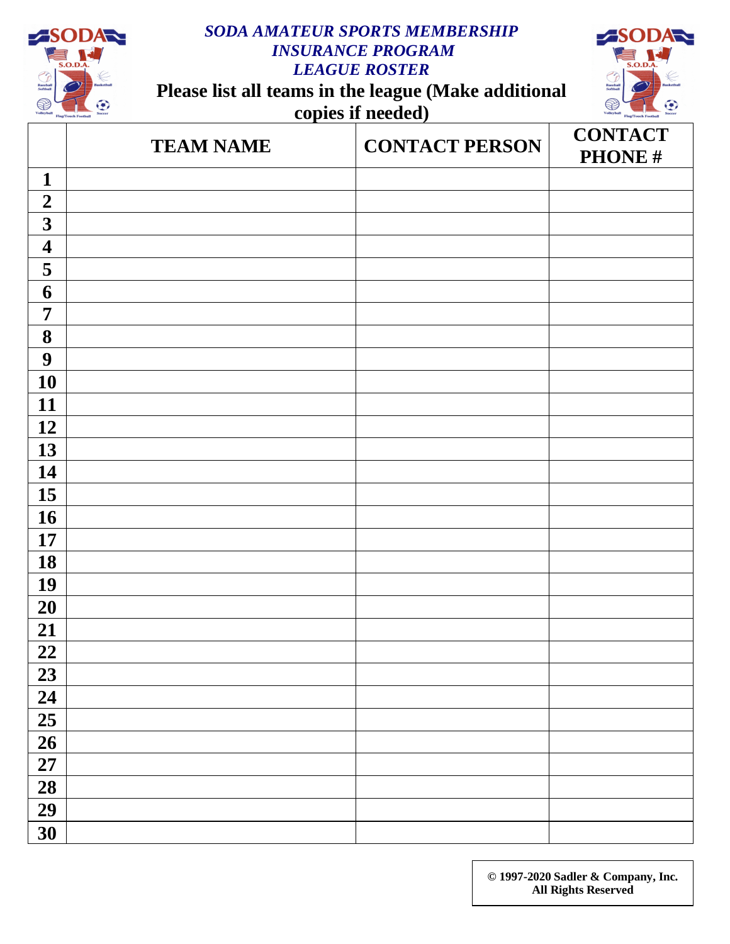

# *SODA AMATEUR SPORTS MEMBERSHIP INSURANCE PROGRAM LEAGUE ROSTER*

**Please list all teams in the league (Make additional copies if needed)**



|                         | <b>TEAM NAME</b> | <b>CONTACT PERSON</b> | <b>CONTACT</b><br>PHONE# |
|-------------------------|------------------|-----------------------|--------------------------|
| $\mathbf{1}$            |                  |                       |                          |
| $\boldsymbol{2}$        |                  |                       |                          |
| $\overline{\mathbf{3}}$ |                  |                       |                          |
| $\overline{\mathbf{4}}$ |                  |                       |                          |
| 5                       |                  |                       |                          |
| 6                       |                  |                       |                          |
| $\overline{7}$          |                  |                       |                          |
| 8                       |                  |                       |                          |
| $\boldsymbol{9}$        |                  |                       |                          |
| 10                      |                  |                       |                          |
| 11                      |                  |                       |                          |
| 12                      |                  |                       |                          |
| 13                      |                  |                       |                          |
| 14                      |                  |                       |                          |
| 15                      |                  |                       |                          |
| <b>16</b>               |                  |                       |                          |
| <b>17</b>               |                  |                       |                          |
| 18                      |                  |                       |                          |
| 19                      |                  |                       |                          |
| 20                      |                  |                       |                          |
| 21                      |                  |                       |                          |
| 22                      |                  |                       |                          |
| 23                      |                  |                       |                          |
| 24                      |                  |                       |                          |
| 25                      |                  |                       |                          |
| $\overline{26}$         |                  |                       |                          |
| 27                      |                  |                       |                          |
| 28                      |                  |                       |                          |
| 29                      |                  |                       |                          |
| 30                      |                  |                       |                          |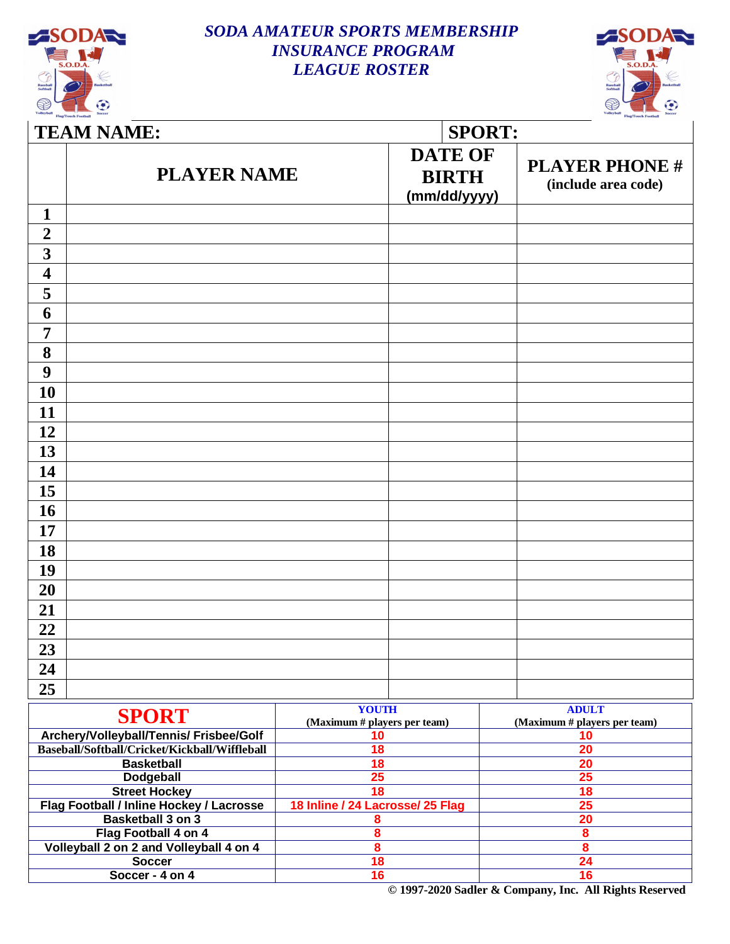

### *SODA AMATEUR SPORTS MEMBERSHIP INSURANCE PROGRAM LEAGUE ROSTER*



|                         | <b>TEAM NAME:</b>                             |                                              | <b>SPORT:</b>                                  |                                              |  |  |  |
|-------------------------|-----------------------------------------------|----------------------------------------------|------------------------------------------------|----------------------------------------------|--|--|--|
|                         | <b>PLAYER NAME</b>                            |                                              | <b>DATE OF</b><br><b>BIRTH</b><br>(mm/dd/yyyy) | <b>PLAYER PHONE #</b><br>(include area code) |  |  |  |
| 1                       |                                               |                                              |                                                |                                              |  |  |  |
| $\overline{2}$          |                                               |                                              |                                                |                                              |  |  |  |
| $\overline{\mathbf{3}}$ |                                               |                                              |                                                |                                              |  |  |  |
| $\overline{\mathbf{4}}$ |                                               |                                              |                                                |                                              |  |  |  |
| 5                       |                                               |                                              |                                                |                                              |  |  |  |
| 6                       |                                               |                                              |                                                |                                              |  |  |  |
| $\overline{7}$          |                                               |                                              |                                                |                                              |  |  |  |
|                         |                                               |                                              |                                                |                                              |  |  |  |
| 8                       |                                               |                                              |                                                |                                              |  |  |  |
| 9                       |                                               |                                              |                                                |                                              |  |  |  |
| 10                      |                                               |                                              |                                                |                                              |  |  |  |
| 11                      |                                               |                                              |                                                |                                              |  |  |  |
| 12                      |                                               |                                              |                                                |                                              |  |  |  |
| 13                      |                                               |                                              |                                                |                                              |  |  |  |
| 14                      |                                               |                                              |                                                |                                              |  |  |  |
| 15                      |                                               |                                              |                                                |                                              |  |  |  |
| <b>16</b>               |                                               |                                              |                                                |                                              |  |  |  |
| 17                      |                                               |                                              |                                                |                                              |  |  |  |
| 18                      |                                               |                                              |                                                |                                              |  |  |  |
| 19                      |                                               |                                              |                                                |                                              |  |  |  |
|                         |                                               |                                              |                                                |                                              |  |  |  |
| 20                      |                                               |                                              |                                                |                                              |  |  |  |
| 21                      |                                               |                                              |                                                |                                              |  |  |  |
| 22                      |                                               |                                              |                                                |                                              |  |  |  |
| 23                      |                                               |                                              |                                                |                                              |  |  |  |
| 24                      |                                               |                                              |                                                |                                              |  |  |  |
| 25                      |                                               |                                              |                                                |                                              |  |  |  |
|                         | <b>SPORT</b>                                  | <b>YOUTH</b><br>(Maximum # players per team) |                                                | <b>ADULT</b><br>(Maximum # players per team) |  |  |  |
|                         | Archery/Volleyball/Tennis/ Frisbee/Golf       | 10                                           |                                                | 10                                           |  |  |  |
|                         | Baseball/Softball/Cricket/Kickball/Wiffleball | 18                                           |                                                | $\overline{20}$                              |  |  |  |
|                         | <b>Basketball</b><br>Dodgeball                | $\overline{18}$<br>25                        |                                                | 20<br>$\overline{25}$                        |  |  |  |
|                         | <b>Street Hockey</b>                          | $\overline{18}$                              |                                                | 18                                           |  |  |  |
|                         | Flag Football / Inline Hockey / Lacrosse      | 18 Inline / 24 Lacrosse/ 25 Flag             |                                                | $\overline{25}$                              |  |  |  |
|                         | <b>Basketball 3 on 3</b>                      | 8                                            |                                                | 20                                           |  |  |  |
|                         | Flag Football 4 on 4                          | 8                                            |                                                | $\pmb{8}$                                    |  |  |  |
|                         | Volleyball 2 on 2 and Volleyball 4 on 4       | 8                                            |                                                | $\boldsymbol{8}$                             |  |  |  |
|                         | <b>Soccer</b>                                 | 18                                           |                                                | 24                                           |  |  |  |
|                         | Soccer - 4 on 4                               | 16                                           |                                                | 16                                           |  |  |  |

**© 1997-2020 Sadler & Company, Inc. All Rights Reserved**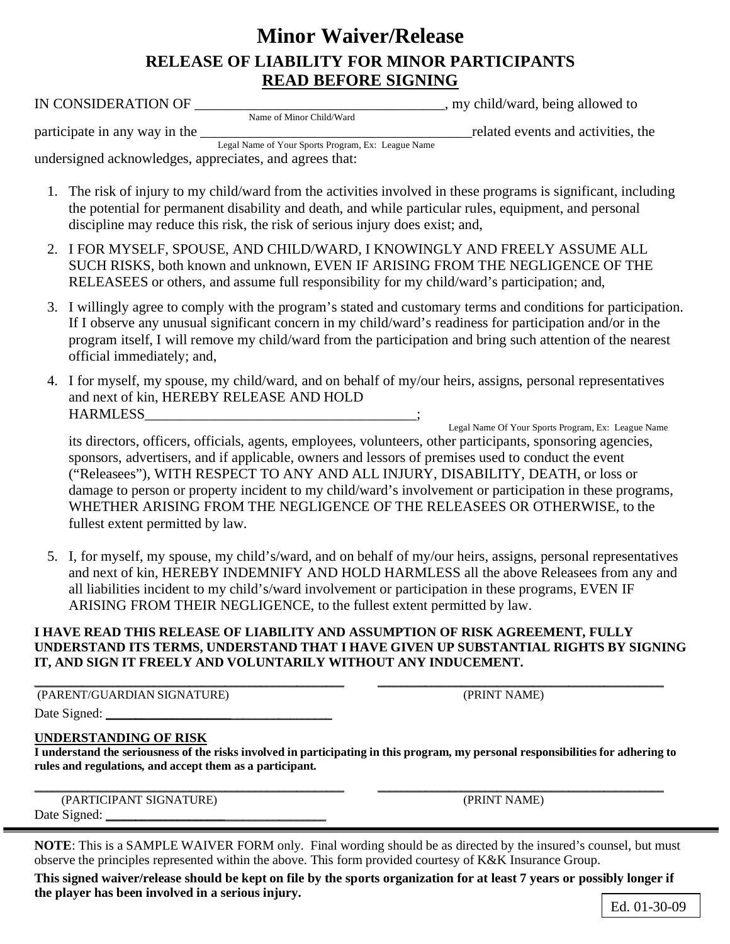# **Minor Waiver/Release RELEASE OF LIABILITY FOR MINOR PARTICIPANTS READ BEFORE SIGNING**

| IN CONSIDERATION OF _______                                                                                                                                                                                                                                                                                                                                                                                                                                                                                                        | , my child/ward, being allowed to  |
|------------------------------------------------------------------------------------------------------------------------------------------------------------------------------------------------------------------------------------------------------------------------------------------------------------------------------------------------------------------------------------------------------------------------------------------------------------------------------------------------------------------------------------|------------------------------------|
| Name of Minor Child/Ward                                                                                                                                                                                                                                                                                                                                                                                                                                                                                                           |                                    |
| participate in any way in the                                                                                                                                                                                                                                                                                                                                                                                                                                                                                                      | related events and activities, the |
| Legal Name of Your Sports Program, Ex: League Name<br>undersigned acknowledges, appreciates, and agrees that:                                                                                                                                                                                                                                                                                                                                                                                                                      |                                    |
| 1. The risk of injury to my child/ward from the activities involved in these programs is significant, including<br>the potential for permanent disability and death, and while particular rules, equipment, and personal<br>discipline may reduce this risk, the risk of serious injury does exist; and,                                                                                                                                                                                                                           |                                    |
| 2. I FOR MYSELF, SPOUSE, AND CHILD/WARD, I KNOWINGLY AND FREELY ASSUME ALL<br>SUCH RISKS, both known and unknown, EVEN IF ARISING FROM THE NEGLIGENCE OF THE<br>RELEASEES or others, and assume full responsibility for my child/ward's participation; and,                                                                                                                                                                                                                                                                        |                                    |
| 3. I willingly agree to comply with the program's stated and customary terms and conditions for participation.<br>If I observe any unusual significant concern in my child/ward's readiness for participation and/or in the<br>program itself, I will remove my child/ward from the participation and bring such attention of the nearest<br>official immediately; and,                                                                                                                                                            |                                    |
| 4. I for myself, my spouse, my child/ward, and on behalf of my/our heirs, assigns, personal representatives<br>and next of kin, HEREBY RELEASE AND HOLD<br>HARMLESS<br>HARMLESS<br>Legal Name Of Your Sports Program, Ex: League Name                                                                                                                                                                                                                                                                                              |                                    |
| its directors, officers, officials, agents, employees, volunteers, other participants, sponsoring agencies,<br>sponsors, advertisers, and if applicable, owners and lessors of premises used to conduct the event<br>("Releasees"), WITH RESPECT TO ANY AND ALL INJURY, DISABILITY, DEATH, or loss or<br>damage to person or property incident to my child/ward's involvement or participation in these programs,<br>WHETHER ARISING FROM THE NEGLIGENCE OF THE RELEASEES OR OTHERWISE, to the<br>fullest extent permitted by law. |                                    |
| 5. I, for myself, my spouse, my child's/ward, and on behalf of my/our heirs, assigns, personal representatives<br>and next of kin, HEREBY INDEMNIFY AND HOLD HARMLESS all the above Releasees from any and<br>all liabilities incident to my child's/ward involvement or participation in these programs, EVEN IF<br>ARISING FROM THEIR NEGLIGENCE, to the fullest extent permitted by law.                                                                                                                                        |                                    |

#### **I HAVE READ THIS RELEASE OF LIABILITY AND ASSUMPTION OF RISK AGREEMENT, FULLY UNDERSTAND ITS TERMS, UNDERSTAND THAT I HAVE GIVEN UP SUBSTANTIAL RIGHTS BY SIGNING IT, AND SIGN IT FREELY AND VOLUNTARILY WITHOUT ANY INDUCEMENT.**

| (PARENT/GUARDIAN SIGNATURE) | (PRINT NAME) |
|-----------------------------|--------------|

(PRINT NAME)

#### Date Signed:

#### **UNDERSTANDING OF RISK**

**I understand the seriousness of the risks involved in participating in this program, my personal responsibilities for adhering to rules and regulations, and accept them as a participant.**

\_\_\_\_\_\_\_\_\_\_\_\_\_\_\_\_\_\_\_\_\_\_\_\_\_\_\_\_\_\_\_\_\_\_\_\_\_\_\_\_\_\_\_\_\_\_\_\_\_\_\_\_ \_\_\_\_\_\_\_\_\_\_\_\_\_\_\_\_\_\_\_\_\_\_\_\_\_\_\_\_\_\_\_\_\_\_\_\_\_\_\_\_\_\_\_\_\_\_\_\_

|              | (PARTICIPANT SIGNATURE) |  |
|--------------|-------------------------|--|
| Date Signed: |                         |  |

(PRINT NAME)

**NOTE**: This is a SAMPLE WAIVER FORM only. Final wording should be as directed by the insured's counsel, but must observe the principles represented within the above. This form provided courtesy of K&K Insurance Group.

**This signed waiver/release should be kept on file by the sports organization for at least 7 years or possibly longer if the player has been involved in a serious injury.**

Ed. 01-30-09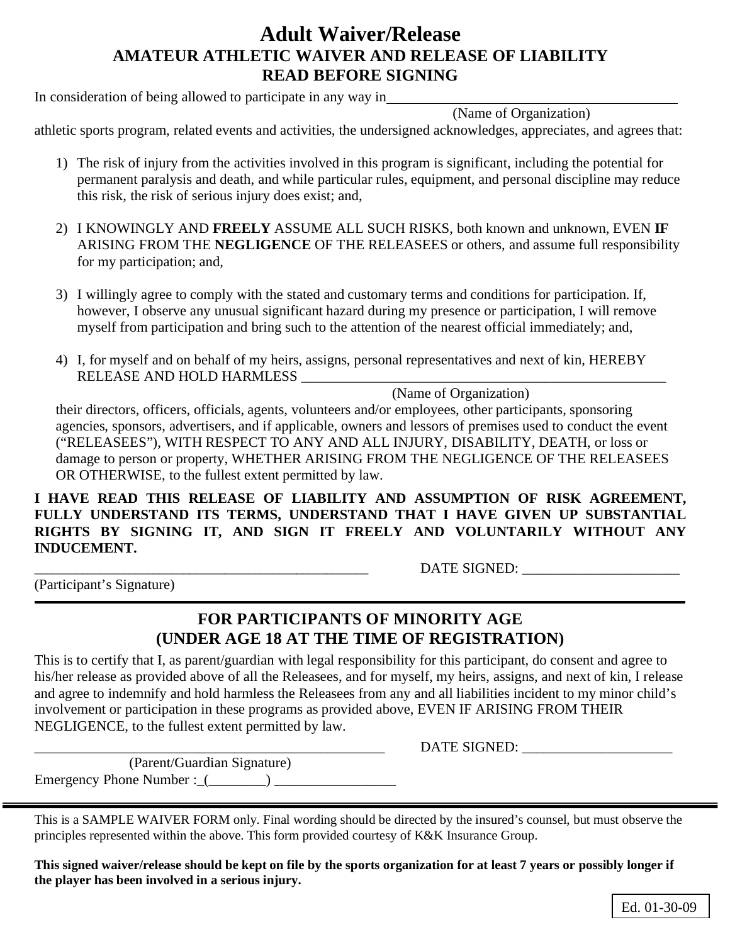# **Adult Waiver/Release AMATEUR ATHLETIC WAIVER AND RELEASE OF LIABILITY READ BEFORE SIGNING**

In consideration of being allowed to participate in any way in

(Name of Organization)

athletic sports program, related events and activities, the undersigned acknowledges, appreciates, and agrees that:

- 1) The risk of injury from the activities involved in this program is significant, including the potential for permanent paralysis and death, and while particular rules, equipment, and personal discipline may reduce this risk, the risk of serious injury does exist; and,
- 2) I KNOWINGLY AND **FREELY** ASSUME ALL SUCH RISKS, both known and unknown, EVEN **IF** ARISING FROM THE **NEGLIGENCE** OF THE RELEASEES or others, and assume full responsibility for my participation; and,
- 3) I willingly agree to comply with the stated and customary terms and conditions for participation. If, however, I observe any unusual significant hazard during my presence or participation, I will remove myself from participation and bring such to the attention of the nearest official immediately; and,
- 4) I, for myself and on behalf of my heirs, assigns, personal representatives and next of kin, HEREBY RELEASE AND HOLD HARMLESS \_\_\_\_\_\_\_\_\_\_\_\_\_\_\_\_\_\_\_\_\_\_\_\_\_\_\_\_\_\_\_\_\_\_\_\_\_\_\_\_\_\_\_\_\_\_\_\_\_\_\_

## (Name of Organization)

their directors, officers, officials, agents, volunteers and/or employees, other participants, sponsoring agencies, sponsors, advertisers, and if applicable, owners and lessors of premises used to conduct the event ("RELEASEES"), WITH RESPECT TO ANY AND ALL INJURY, DISABILITY, DEATH, or loss or damage to person or property, WHETHER ARISING FROM THE NEGLIGENCE OF THE RELEASEES OR OTHERWISE, to the fullest extent permitted by law.

**I HAVE READ THIS RELEASE OF LIABILITY AND ASSUMPTION OF RISK AGREEMENT, FULLY UNDERSTAND ITS TERMS, UNDERSTAND THAT I HAVE GIVEN UP SUBSTANTIAL RIGHTS BY SIGNING IT, AND SIGN IT FREELY AND VOLUNTARILY WITHOUT ANY INDUCEMENT.**

\_\_\_\_\_\_\_\_\_\_\_\_\_\_\_\_\_\_\_\_\_\_\_\_\_\_\_\_\_\_\_\_\_\_\_\_\_\_\_\_\_\_\_\_\_\_\_\_\_\_\_\_\_\_\_\_ DATE SIGNED: \_\_\_\_\_\_\_\_\_\_\_\_\_\_\_\_\_\_\_\_\_\_

(Participant's Signature)

### **FOR PARTICIPANTS OF MINORITY AGE (UNDER AGE 18 AT THE TIME OF REGISTRATION)**

This is to certify that I, as parent/guardian with legal responsibility for this participant, do consent and agree to his/her release as provided above of all the Releasees, and for myself, my heirs, assigns, and next of kin, I release and agree to indemnify and hold harmless the Releasees from any and all liabilities incident to my minor child's involvement or participation in these programs as provided above, EVEN IF ARISING FROM THEIR NEGLIGENCE, to the fullest extent permitted by law.

\_\_\_\_\_\_\_\_\_\_\_\_\_\_\_\_\_\_\_\_\_\_\_\_\_\_\_\_\_\_\_\_\_\_\_\_\_\_\_\_\_\_\_\_\_\_\_\_\_ DATE SIGNED: \_\_\_\_\_\_\_\_\_\_\_\_\_\_\_\_\_\_\_\_\_

(Parent/Guardian Signature) Emergency Phone Number :\_(\_\_\_\_\_\_\_\_) \_\_\_\_\_\_\_\_\_\_\_\_\_\_\_\_\_

This is a SAMPLE WAIVER FORM only. Final wording should be directed by the insured's counsel, but must observe the principles represented within the above. This form provided courtesy of K&K Insurance Group.

**This signed waiver/release should be kept on file by the sports organization for at least 7 years or possibly longer if the player has been involved in a serious injury.**

Ed. 01-30-09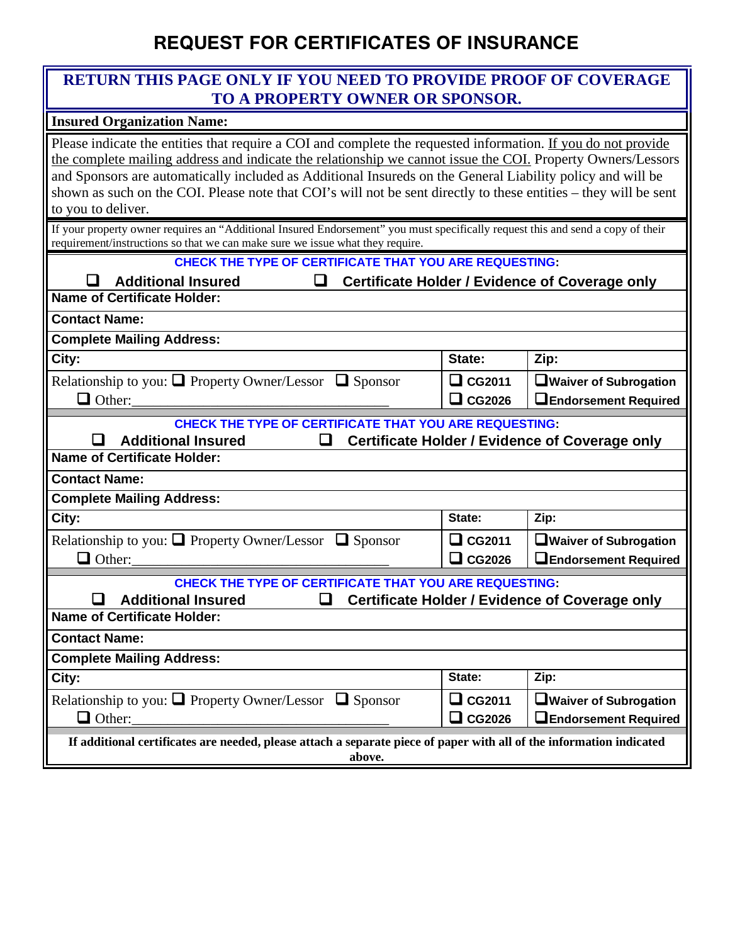# **REQUEST FOR CERTIFICATES OF INSURANCE**

### **RETURN THIS PAGE ONLY IF YOU NEED TO PROVIDE PROOF OF COVERAGE TO A PROPERTY OWNER OR SPONSOR.**

#### **Insured Organization Name:**

Please indicate the entities that require a COI and complete the requested information. If you do not provide the complete mailing address and indicate the relationship we cannot issue the COI. Property Owners/Lessors and Sponsors are automatically included as Additional Insureds on the General Liability policy and will be shown as such on the COI. Please note that COI's will not be sent directly to these entities – they will be sent to you to deliver.

If your property owner requires an "Additional Insured Endorsement" you must specifically request this and send a copy of their requirement/instructions so that we can make sure we issue what they require.

#### **CHECK THE TYPE OF CERTIFICATE THAT YOU ARE REQUESTING:**

| <b>Additional Insured</b><br><b>Certificate Holder / Evidence of Coverage only</b><br>ப                                        |               |                                |
|--------------------------------------------------------------------------------------------------------------------------------|---------------|--------------------------------|
| <b>Name of Certificate Holder:</b>                                                                                             |               |                                |
| <b>Contact Name:</b>                                                                                                           |               |                                |
| <b>Complete Mailing Address:</b>                                                                                               |               |                                |
| City:                                                                                                                          | State:        | Zip:                           |
| Relationship to you: $\Box$ Property Owner/Lessor $\Box$ Sponsor                                                               | $\Box$ CG2011 | □ Waiver of Subrogation        |
| $\Box$ Other:                                                                                                                  | $\Box$ CG2026 | <b>LEndorsement Required</b>   |
| <b>CHECK THE TYPE OF CERTIFICATE THAT YOU ARE REQUESTING:</b>                                                                  |               |                                |
| <b>Additional Insured</b><br><b>Certificate Holder / Evidence of Coverage only</b><br>u                                        |               |                                |
| <b>Name of Certificate Holder:</b>                                                                                             |               |                                |
| <b>Contact Name:</b>                                                                                                           |               |                                |
| <b>Complete Mailing Address:</b>                                                                                               |               |                                |
| City:                                                                                                                          | State:        | Zip:                           |
| Relationship to you: $\Box$ Property Owner/Lessor $\Box$ Sponsor                                                               | $\Box$ CG2011 | □ Waiver of Subrogation        |
| $\Box$ Other:                                                                                                                  | $\Box$ CG2026 | <b>LEndorsement Required</b>   |
| <b>CHECK THE TYPE OF CERTIFICATE THAT YOU ARE REQUESTING:</b>                                                                  |               |                                |
| <b>Additional Insured</b><br><b>Certificate Holder / Evidence of Coverage only</b><br>u                                        |               |                                |
| <b>Name of Certificate Holder:</b>                                                                                             |               |                                |
| <b>Contact Name:</b>                                                                                                           |               |                                |
| <b>Complete Mailing Address:</b>                                                                                               |               |                                |
| City:                                                                                                                          | State:        | Zip:                           |
| Relationship to you: $\Box$ Property Owner/Lessor $\Box$ Sponsor                                                               | $\Box$ CG2011 | <b>O</b> Waiver of Subrogation |
| $\Box$ Other:                                                                                                                  | $\Box$ CG2026 | <b>LEndorsement Required</b>   |
| If additional certificates are needed, please attach a separate piece of paper with all of the information indicated<br>above. |               |                                |